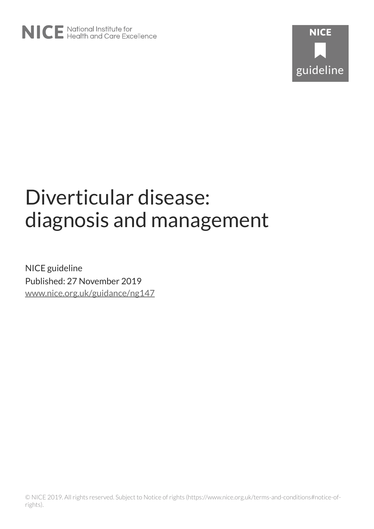

# Diverticular disease: diagnosis and management

NICE guideline Published: 27 November 2019 [www.nice.org.uk/guidance/ng147](https://www.nice.org.uk/guidance/ng147)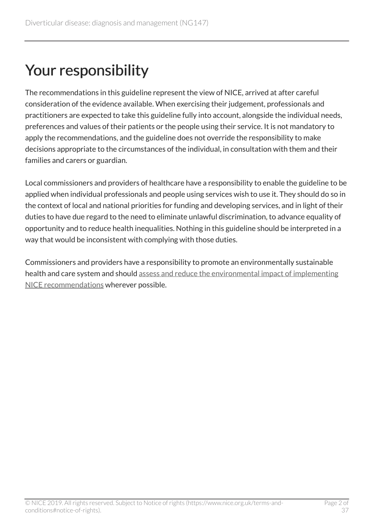# Your responsibility

The recommendations in this guideline represent the view of NICE, arrived at after careful consideration of the evidence available. When exercising their judgement, professionals and practitioners are expected to take this guideline fully into account, alongside the individual needs, preferences and values of their patients or the people using their service. It is not mandatory to apply the recommendations, and the guideline does not override the responsibility to make decisions appropriate to the circumstances of the individual, in consultation with them and their families and carers or guardian.

Local commissioners and providers of healthcare have a responsibility to enable the guideline to be applied when individual professionals and people using services wish to use it. They should do so in the context of local and national priorities for funding and developing services, and in light of their duties to have due regard to the need to eliminate unlawful discrimination, to advance equality of opportunity and to reduce health inequalities. Nothing in this guideline should be interpreted in a way that would be inconsistent with complying with those duties.

Commissioners and providers have a responsibility to promote an environmentally sustainable health and care system and should [assess and reduce the environmental impact of implementing](https://www.nice.org.uk/about/who-we-are/sustainability) [NICE recommendations](https://www.nice.org.uk/about/who-we-are/sustainability) wherever possible.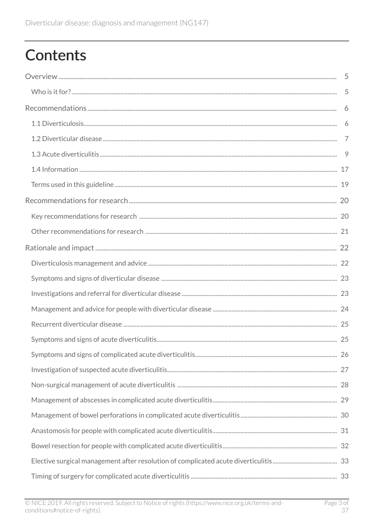# **Contents**

| 9 |
|---|
|   |
|   |
|   |
|   |
|   |
|   |
|   |
|   |
|   |
|   |
|   |
|   |
|   |
|   |
|   |
|   |
|   |
|   |
|   |
|   |
|   |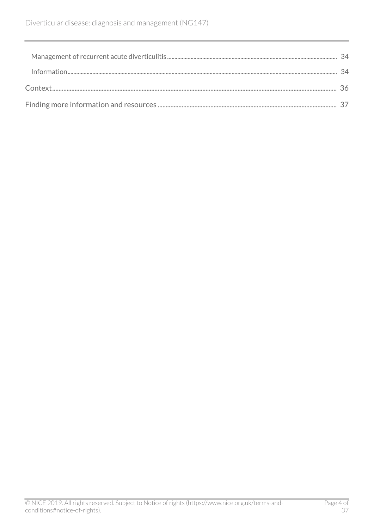| .34 |
|-----|
|     |
|     |
|     |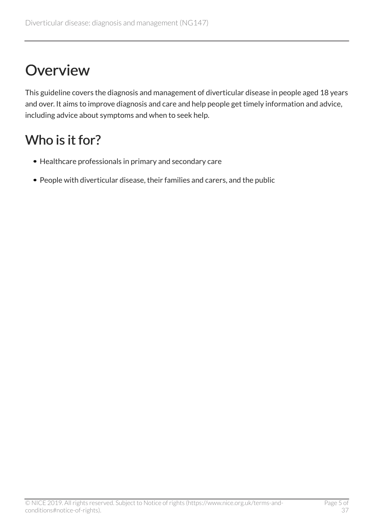# <span id="page-4-0"></span>**Overview**

This guideline covers the diagnosis and management of diverticular disease in people aged 18 years and over. It aims to improve diagnosis and care and help people get timely information and advice, including advice about symptoms and when to seek help.

## <span id="page-4-1"></span>Who is it for?

- Healthcare professionals in primary and secondary care
- People with diverticular disease, their families and carers, and the public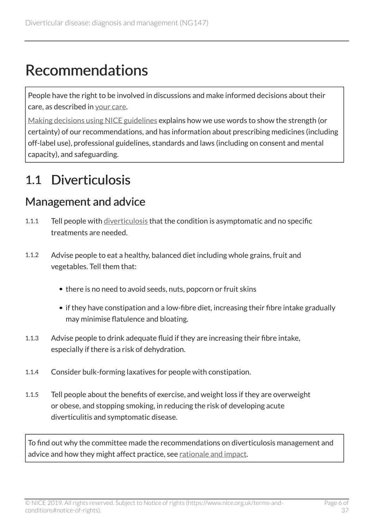# <span id="page-5-0"></span>Recommendations

People have the right to be involved in discussions and make informed decisions about their care, as described in [your care.](http://www.nice.org.uk/about/nice-communities/public-involvement/your-care)

[Making decisions using NICE guidelines](http://www.nice.org.uk/about/what-we-do/our-programmes/nice-guidance/nice-guidelines/using-NICE-guidelines-to-make-decisions) explains how we use words to show the strength (or certainty) of our recommendations, and has information about prescribing medicines (including off-label use), professional guidelines, standards and laws (including on consent and mental capacity), and safeguarding.

### <span id="page-5-1"></span>1.1 Diverticulosis

#### <span id="page-5-2"></span>Management and advice

- 1.1.1 Tell people with [diverticulosis](#page-18-1) that the condition is asymptomatic and no specific treatments are needed.
- 1.1.2 Advise people to eat a healthy, balanced diet including whole grains, fruit and vegetables. Tell them that:
	- there is no need to avoid seeds, nuts, popcorn or fruit skins
	- if they have constipation and a low-fibre diet, increasing their fibre intake gradually may minimise flatulence and bloating.
- 1.1.3 Advise people to drink adequate fluid if they are increasing their fibre intake, especially if there is a risk of dehydration.
- 1.1.4 Consider bulk-forming laxatives for people with constipation.
- 1.1.5 Tell people about the benefits of exercise, and weight loss if they are overweight or obese, and stopping smoking, in reducing the risk of developing acute diverticulitis and symptomatic disease.

To find out why the committee made the recommendations on diverticulosis management and advice and how they might affect practice, see [rationale and impact.](#page-21-1)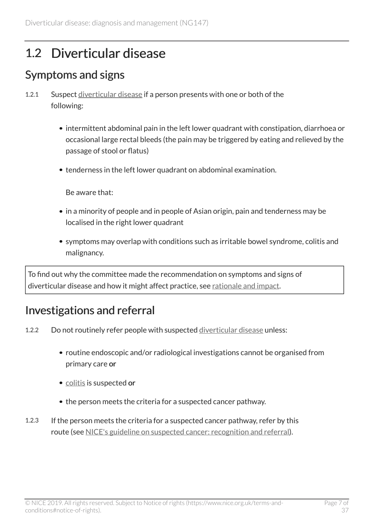## <span id="page-6-0"></span>1.2 Diverticular disease

#### <span id="page-6-1"></span>Symptoms and signs

- 1.2.1 Suspect [diverticular disease](#page-18-2) if a person presents with one or both of the following:
	- intermittent abdominal pain in the left lower quadrant with constipation, diarrhoea or occasional large rectal bleeds (the pain may be triggered by eating and relieved by the passage of stool or flatus)
	- tenderness in the left lower quadrant on abdominal examination.

Be aware that:

- in a minority of people and in people of Asian origin, pain and tenderness may be localised in the right lower quadrant
- symptoms may overlap with conditions such as irritable bowel syndrome, colitis and malignancy.

To find out why the committee made the recommendation on symptoms and signs of diverticular disease and how it might affect practice, see [rationale and impact.](#page-22-0)

#### <span id="page-6-2"></span>Investigations and referral

- 1.2.2 Do not routinely refer people with suspected [diverticular disease](#page-18-2) unless:
	- routine endoscopic and/or radiological investigations cannot be organised from primary care or
	- [colitis](#page-18-3) is suspected or
	- the person meets the criteria for a suspected cancer pathway.
- 1.2.3 If the person meets the criteria for a suspected cancer pathway, refer by this route (see [NICE's guideline on suspected cancer: recognition and referral\)](https://www.nice.org.uk/guidance/ng12).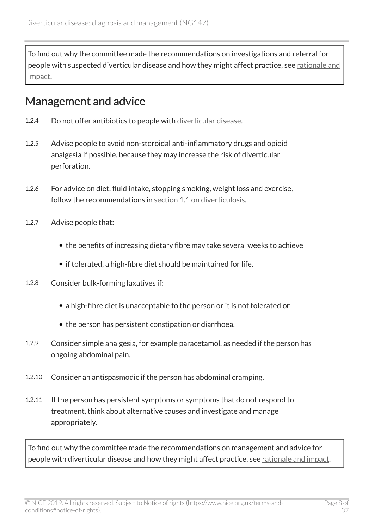To find out why the committee made the recommendations on investigations and referral for people with suspected diverticular disease and how they might affect practice, see [rationale and](#page-22-1) [impact](#page-22-1).

#### <span id="page-7-0"></span>Management and advice

- 1.2.4 Do not offer antibiotics to people with [diverticular disease.](#page-18-2)
- 1.2.5 Advise people to avoid non-steroidal anti-inflammatory drugs and opioid analgesia if possible, because they may increase the risk of diverticular perforation.
- 1.2.6 For advice on diet, fluid intake, stopping smoking, weight loss and exercise, follow the recommendations in [section 1.1 on diverticulosis](#page-5-1).
- 1.2.7 Advise people that:
	- the benefits of increasing dietary fibre may take several weeks to achieve
	- if tolerated, a high-fibre diet should be maintained for life.
- 1.2.8 Consider bulk-forming laxatives if:
	- a high-fibre diet is unacceptable to the person or it is not tolerated or
	- the person has persistent constipation or diarrhoea.
- 1.2.9 Consider simple analgesia, for example paracetamol, as needed if the person has ongoing abdominal pain.
- 1.2.10 Consider an antispasmodic if the person has abdominal cramping.
- 1.2.11 If the person has persistent symptoms or symptoms that do not respond to treatment, think about alternative causes and investigate and manage appropriately.

To find out why the committee made the recommendations on management and advice for people with diverticular disease and how they might affect practice, see [rationale and impact](#page-23-0).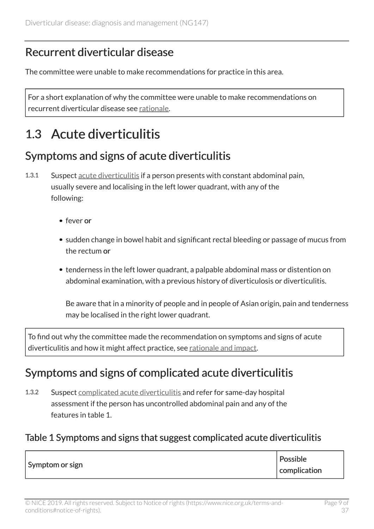#### <span id="page-8-1"></span>Recurrent diverticular disease

The committee were unable to make recommendations for practice in this area.

For a short explanation of why the committee were unable to make recommendations on recurrent diverticular disease see [rationale.](#page-24-0)

## <span id="page-8-0"></span>1.3 Acute diverticulitis

#### <span id="page-8-2"></span>Symptoms and signs of acute diverticulitis

- 1.3.1 Suspect [acute diverticulitis](#page-18-4) if a person presents with constant abdominal pain, usually severe and localising in the left lower quadrant, with any of the following:
	- fever or
	- sudden change in bowel habit and significant rectal bleeding or passage of mucus from the rectum or
	- tenderness in the left lower quadrant, a palpable abdominal mass or distention on abdominal examination, with a previous history of diverticulosis or diverticulitis.

Be aware that in a minority of people and in people of Asian origin, pain and tenderness may be localised in the right lower quadrant.

To find out why the committee made the recommendation on symptoms and signs of acute diverticulitis and how it might affect practice, see [rationale and impact](#page-24-1).

#### <span id="page-8-3"></span>Symptoms and signs of complicated acute diverticulitis

1.3.2 Suspect [complicated acute diverticulitis](#page-18-5) and refer for same-day hospital assessment if the person has uncontrolled abdominal pain and any of the features in table 1.

#### Table 1 Symptoms and signs that suggest complicated acute diverticulitis

| Symptom or sign | Possible     |
|-----------------|--------------|
|                 | complication |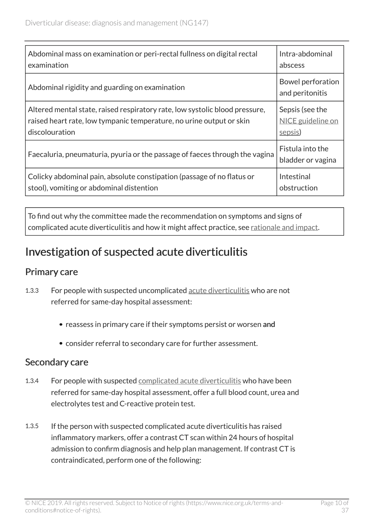| Abdominal mass on examination or peri-rectal fullness on digital rectal     | Intra-abdominal                       |
|-----------------------------------------------------------------------------|---------------------------------------|
| examination                                                                 | abscess                               |
| Abdominal rigidity and guarding on examination                              | Bowel perforation<br>and peritonitis  |
| Altered mental state, raised respiratory rate, low systolic blood pressure, | Sepsis (see the                       |
| raised heart rate, low tympanic temperature, no urine output or skin        | NICE guideline on                     |
| discolouration                                                              | sepsis)                               |
| Faecaluria, pneumaturia, pyuria or the passage of faeces through the vagina | Fistula into the<br>bladder or vagina |
| Colicky abdominal pain, absolute constipation (passage of no flatus or      | Intestinal                            |
| stool), vomiting or abdominal distention                                    | obstruction                           |

To find out why the committee made the recommendation on symptoms and signs of complicated acute diverticulitis and how it might affect practice, see [rationale and impact](#page-25-0).

#### <span id="page-9-0"></span>Investigation of suspected acute diverticulitis

#### Primary care

- 1.3.3 For people with suspected uncomplicated [acute diverticulitis](#page-18-4) who are not referred for same-day hospital assessment:
	- reassess in primary care if their symptoms persist or worsen and
	- consider referral to secondary care for further assessment.

#### Secondary care

- 1.3.4 For people with suspected [complicated acute diverticulitis](#page-18-5) who have been referred for same-day hospital assessment, offer a full blood count, urea and electrolytes test and C-reactive protein test.
- 1.3.5 If the person with suspected complicated acute diverticulitis has raised inflammatory markers, offer a contrast CT scan within 24 hours of hospital admission to confirm diagnosis and help plan management. If contrast CT is contraindicated, perform one of the following: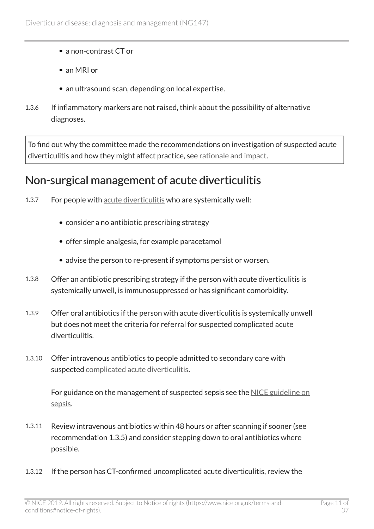- a non-contrast CT or
- an MRI or
- an ultrasound scan, depending on local expertise.
- 1.3.6 If inflammatory markers are not raised, think about the possibility of alternative diagnoses.

To find out why the committee made the recommendations on investigation of suspected acute diverticulitis and how they might affect practice, see [rationale and impact](#page-26-0).

#### <span id="page-10-0"></span>Non-surgical management of acute diverticulitis

- 1.3.7 For people with [acute diverticulitis](#page-18-4) who are systemically well:
	- consider a no antibiotic prescribing strategy
	- offer simple analgesia, for example paracetamol
	- advise the person to re-present if symptoms persist or worsen.
- 1.3.8 Offer an antibiotic prescribing strategy if the person with acute diverticulitis is systemically unwell, is immunosuppressed or has significant comorbidity.
- 1.3.9 Offer oral antibiotics if the person with acute diverticulitis is systemically unwell but does not meet the criteria for referral for suspected complicated acute diverticulitis.
- 1.3.10 Offer intravenous antibiotics to people admitted to secondary care with suspected [complicated acute diverticulitis](#page-18-5).

For guidance on the management of suspected sepsis see the [NICE guideline on](https://www.nice.org.uk/guidance/ng51) [sepsis.](https://www.nice.org.uk/guidance/ng51)

- 1.3.11 Review intravenous antibiotics within 48 hours or after scanning if sooner (see recommendation 1.3.5) and consider stepping down to oral antibiotics where possible.
- 1.3.12 If the person has CT-confirmed uncomplicated acute diverticulitis, review the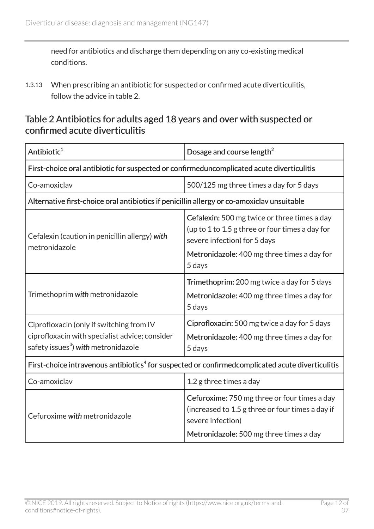need for antibiotics and discharge them depending on any co-existing medical conditions.

1.3.13 When prescribing an antibiotic for suspected or confirmed acute diverticulitis, follow the advice in table 2.

#### Table 2 Antibiotics for adults aged 18 years and over with suspected or confirmed acute diverticulitis

| Antibiotic <sup>1</sup>                                                                                                                       | Dosage and course length <sup>2</sup>                                                                                                                                                    |  |
|-----------------------------------------------------------------------------------------------------------------------------------------------|------------------------------------------------------------------------------------------------------------------------------------------------------------------------------------------|--|
| First-choice oral antibiotic for suspected or confirmeduncomplicated acute diverticulitis                                                     |                                                                                                                                                                                          |  |
| Co-amoxiclav                                                                                                                                  | 500/125 mg three times a day for 5 days                                                                                                                                                  |  |
| Alternative first-choice oral antibiotics if penicillin allergy or co-amoxiclav unsuitable                                                    |                                                                                                                                                                                          |  |
| Cefalexin (caution in penicillin allergy) with<br>metronidazole                                                                               | Cefalexin: 500 mg twice or three times a day<br>(up to 1 to 1.5 g three or four times a day for<br>severe infection) for 5 days<br>Metronidazole: 400 mg three times a day for<br>5 days |  |
| Trimethoprim with metronidazole                                                                                                               | Trimethoprim: 200 mg twice a day for 5 days<br>Metronidazole: 400 mg three times a day for<br>5 days                                                                                     |  |
| Ciprofloxacin (only if switching from IV<br>ciprofloxacin with specialist advice; consider<br>safety issues <sup>3</sup> ) with metronidazole | Ciprofloxacin: 500 mg twice a day for 5 days<br>Metronidazole: 400 mg three times a day for<br>5 days                                                                                    |  |
| First-choice intravenous antibiotics <sup>4</sup> for suspected or confirmedcomplicated acute diverticulitis                                  |                                                                                                                                                                                          |  |
| Co-amoxiclav                                                                                                                                  | 1.2 g three times a day                                                                                                                                                                  |  |
| Cefuroxime with metronidazole                                                                                                                 | Cefuroxime: 750 mg three or four times a day<br>(increased to 1.5 g three or four times a day if<br>severe infection)<br>Metronidazole: 500 mg three times a day                         |  |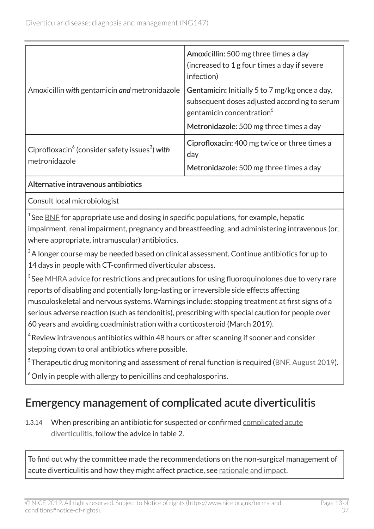| Amoxicillin with gentamicin and metronidazole                                           | Amoxicillin: 500 mg three times a day<br>(increased to 1 g four times a day if severe<br>infection)                                     |
|-----------------------------------------------------------------------------------------|-----------------------------------------------------------------------------------------------------------------------------------------|
|                                                                                         | Gentamicin: Initially 5 to 7 mg/kg once a day,<br>subsequent doses adjusted according to serum<br>gentamicin concentration <sup>5</sup> |
|                                                                                         | Metronidazole: 500 mg three times a day                                                                                                 |
| Ciprofloxacin <sup>6</sup> (consider safety issues <sup>3</sup> ) with<br>metronidazole | Ciprofloxacin: 400 mg twice or three times a<br>day                                                                                     |
|                                                                                         | Metronidazole: 500 mg three times a day                                                                                                 |

#### Alternative intravenous antibiotics

Consult local microbiologist

 $^{\rm 1}$ See <u>[BNF](https://bnf.nice.org.uk/)</u> for appropriate use and dosing in specific populations, for example, hepatic impairment, renal impairment, pregnancy and breastfeeding, and administering intravenous (or, where appropriate, intramuscular) antibiotics.

 $2^2$ A longer course may be needed based on clinical assessment. Continue antibiotics for up to 14 days in people with CT-confirmed diverticular abscess.

 $^3$ See <u>[MHRA advice](https://www.gov.uk/drug-safety-update/fluoroquinolone-antibiotics-new-restrictions-and-precautions-for-use-due-to-very-rare-reports-of-disabling-and-potentially-long-lasting-or-irreversible-side-effects)</u> for restrictions and precautions for using fluoroquinolones due to very rare reports of disabling and potentially long-lasting or irreversible side effects affecting musculoskeletal and nervous systems. Warnings include: stopping treatment at first signs of a serious adverse reaction (such as tendonitis), prescribing with special caution for people over 60 years and avoiding coadministration with a corticosteroid (March 2019).

 $^4$ Review intravenous antibiotics within 48 hours or after scanning if sooner and consider stepping down to oral antibiotics where possible.

 $^5$ Therapeutic drug monitoring and assessment of renal function is required (<u>BNF, August 2019</u>).

 $\degree$ Only in people with allergy to penicillins and cephalosporins.

#### Emergency management of complicated acute diverticulitis

1.3.14 When prescribing an antibiotic for suspected or confirmed [complicated acute](#page-18-5) [diverticulitis,](#page-18-5) follow the advice in table 2.

To find out why the committee made the recommendations on the non-surgical management of acute diverticulitis and how they might affect practice, see [rationale and impact.](#page-27-0)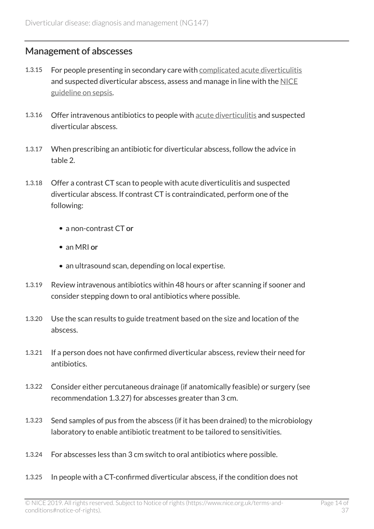#### <span id="page-13-0"></span>Management of abscesses

- 1.3.15 For people presenting in secondary care with [complicated acute diverticulitis](#page-18-5) and suspected diverticular abscess, assess and manage in line with the [NICE](https://www.nice.org.uk/guidance/ng51) [guideline on sepsis.](https://www.nice.org.uk/guidance/ng51)
- 1.3.16 Offer intravenous antibiotics to people with [acute diverticulitis](#page-18-4) and suspected diverticular abscess.
- 1.3.17 When prescribing an antibiotic for diverticular abscess, follow the advice in table 2.
- 1.3.18 Offer a contrast CT scan to people with acute diverticulitis and suspected diverticular abscess. If contrast CT is contraindicated, perform one of the following:
	- a non-contrast CT or
	- an MRI or
	- an ultrasound scan, depending on local expertise.
- 1.3.19 Review intravenous antibiotics within 48 hours or after scanning if sooner and consider stepping down to oral antibiotics where possible.
- 1.3.20 Use the scan results to guide treatment based on the size and location of the abscess.
- 1.3.21 If a person does not have confirmed diverticular abscess, review their need for antibiotics.
- 1.3.22 Consider either percutaneous drainage (if anatomically feasible) or surgery (see recommendation 1.3.27) for abscesses greater than 3 cm.
- 1.3.23 Send samples of pus from the abscess (if it has been drained) to the microbiology laboratory to enable antibiotic treatment to be tailored to sensitivities.
- 1.3.24 For abscesses less than 3 cm switch to oral antibiotics where possible.
- 1.3.25 In people with a CT-confirmed diverticular abscess, if the condition does not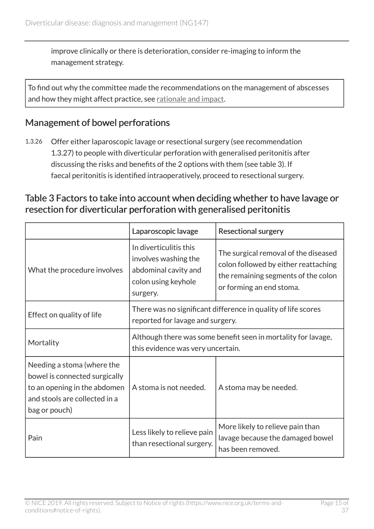improve clinically or there is deterioration, consider re-imaging to inform the management strategy.

To find out why the committee made the recommendations on the management of abscesses and how they might affect practice, see [rationale and impact](#page-28-0).

#### <span id="page-14-0"></span>Management of bowel perforations

1.3.26 Offer either laparoscopic lavage or resectional surgery (see recommendation 1.3.27) to people with diverticular perforation with generalised peritonitis after discussing the risks and benefits of the 2 options with them (see table 3). If faecal peritonitis is identified intraoperatively, proceed to resectional surgery.

#### Table 3 Factors to take into account when deciding whether to have lavage or resection for diverticular perforation with generalised peritonitis

|                                                                                                                                               | Laparoscopic lavage                                                                                       | <b>Resectional surgery</b>                                                                                                                      |
|-----------------------------------------------------------------------------------------------------------------------------------------------|-----------------------------------------------------------------------------------------------------------|-------------------------------------------------------------------------------------------------------------------------------------------------|
| What the procedure involves                                                                                                                   | In diverticulitis this<br>involves washing the<br>abdominal cavity and<br>colon using keyhole<br>surgery. | The surgical removal of the diseased<br>colon followed by either reattaching<br>the remaining segments of the colon<br>or forming an end stoma. |
| Effect on quality of life                                                                                                                     | There was no significant difference in quality of life scores<br>reported for lavage and surgery.         |                                                                                                                                                 |
| Mortality                                                                                                                                     | Although there was some benefit seen in mortality for lavage,<br>this evidence was very uncertain.        |                                                                                                                                                 |
| Needing a stoma (where the<br>bowel is connected surgically<br>to an opening in the abdomen<br>and stools are collected in a<br>bag or pouch) | A stoma is not needed.                                                                                    | A stoma may be needed.                                                                                                                          |
| Pain                                                                                                                                          | Less likely to relieve pain<br>than resectional surgery.                                                  | More likely to relieve pain than<br>lavage because the damaged bowel<br>has been removed.                                                       |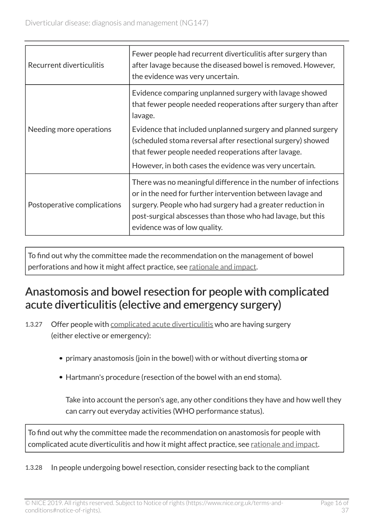| Recurrent diverticulitis    | Fewer people had recurrent diverticulitis after surgery than<br>after lavage because the diseased bowel is removed. However,<br>the evidence was very uncertain.                                                                                                                          |
|-----------------------------|-------------------------------------------------------------------------------------------------------------------------------------------------------------------------------------------------------------------------------------------------------------------------------------------|
| Needing more operations     | Evidence comparing unplanned surgery with lavage showed<br>that fewer people needed reoperations after surgery than after<br>lavage.                                                                                                                                                      |
|                             | Evidence that included unplanned surgery and planned surgery<br>(scheduled stoma reversal after resectional surgery) showed<br>that fewer people needed reoperations after lavage.<br>However, in both cases the evidence was very uncertain.                                             |
| Postoperative complications | There was no meaningful difference in the number of infections<br>or in the need for further intervention between lavage and<br>surgery. People who had surgery had a greater reduction in<br>post-surgical abscesses than those who had lavage, but this<br>evidence was of low quality. |

To find out why the committee made the recommendation on the management of bowel perforations and how it might affect practice, see [rationale and impact](#page-29-0).

#### <span id="page-15-0"></span>Anastomosis and bowel resection for people with complicated acute diverticulitis (elective and emergency surgery)

- 1.3.27 Offer people with [complicated acute diverticulitis](#page-18-5) who are having surgery (either elective or emergency):
	- primary anastomosis (join in the bowel) with or without diverting stoma or
	- Hartmann's procedure (resection of the bowel with an end stoma).

Take into account the person's age, any other conditions they have and how well they can carry out everyday activities (WHO performance status).

To find out why the committee made the recommendation on anastomosis for people with complicated acute diverticulitis and how it might affect practice, see [rationale and impact](#page-30-0).

1.3.28 In people undergoing bowel resection, consider resecting back to the compliant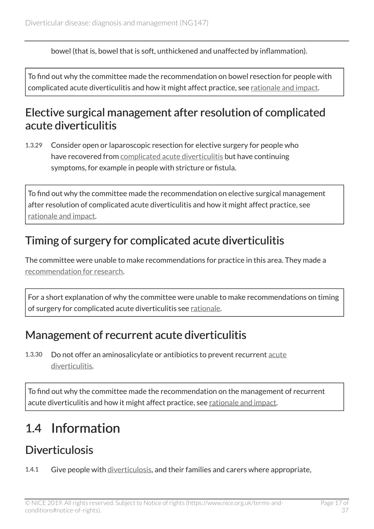bowel (that is, bowel that is soft, unthickened and unaffected by inflammation).

To find out why the committee made the recommendation on bowel resection for people with complicated acute diverticulitis and how it might affect practice, see [rationale and impact](#page-31-0).

#### <span id="page-16-1"></span>Elective surgical management after resolution of complicated acute diverticulitis

1.3.29 Consider open or laparoscopic resection for elective surgery for people who have recovered from [complicated acute diverticulitis](#page-18-5) but have continuing symptoms, for example in people with stricture or fistula.

To find out why the committee made the recommendation on elective surgical management after resolution of complicated acute diverticulitis and how it might affect practice, see [rationale and impact](#page-32-0).

### <span id="page-16-2"></span>Timing of surgery for complicated acute diverticulitis

The committee were unable to make recommendations for practice in this area. They made a [recommendation for research.](#page-20-1)

For a short explanation of why the committee were unable to make recommendations on timing of surgery for complicated acute diverticulitis see [rationale.](#page-32-1)

#### <span id="page-16-3"></span>Management of recurrent acute diverticulitis

1.3.30 Do not offer an aminosalicylate or antibiotics to prevent recurrent [acute](#page-18-4) [diverticulitis.](#page-18-4)

To find out why the committee made the recommendation on the management of recurrent acute diverticulitis and how it might affect practice, see [rationale and impact.](#page-33-0)

## <span id="page-16-0"></span>1.4 Information

### <span id="page-16-4"></span>**Diverticulosis**

1.4.1 Give people with [diverticulosis](#page-18-1), and their families and carers where appropriate,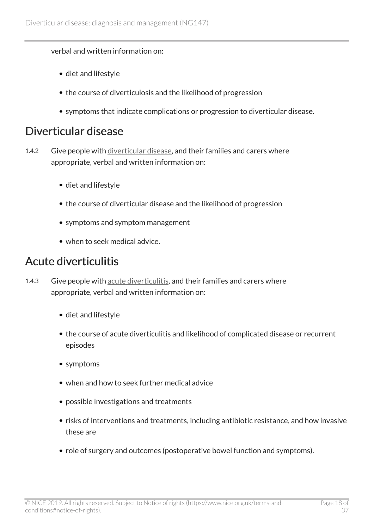#### verbal and written information on:

- diet and lifestyle
- the course of diverticulosis and the likelihood of progression
- symptoms that indicate complications or progression to diverticular disease.

#### Diverticular disease

- 1.4.2 Give people with [diverticular disease](#page-18-2), and their families and carers where appropriate, verbal and written information on:
	- diet and lifestyle
	- the course of diverticular disease and the likelihood of progression
	- symptoms and symptom management
	- when to seek medical advice.

#### Acute diverticulitis

- 1.4.3 Give people with [acute diverticulitis](#page-18-4), and their families and carers where appropriate, verbal and written information on:
	- diet and lifestyle
	- the course of acute diverticulitis and likelihood of complicated disease or recurrent episodes
	- symptoms
	- when and how to seek further medical advice
	- possible investigations and treatments
	- risks of interventions and treatments, including antibiotic resistance, and how invasive these are
	- role of surgery and outcomes (postoperative bowel function and symptoms).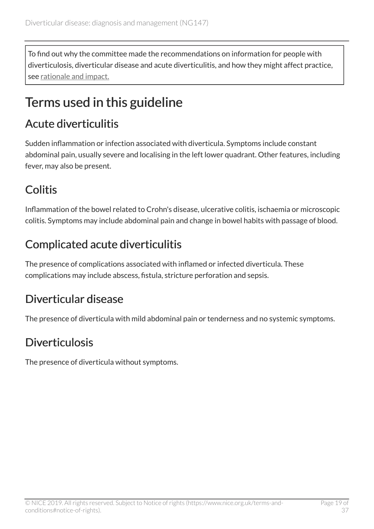To find out why the committee made the recommendations on information for people with diverticulosis, diverticular disease and acute diverticulitis, and how they might affect practice, see [rationale and impact.](#page-33-1)

### <span id="page-18-0"></span>Terms used in this guideline

#### <span id="page-18-4"></span>Acute diverticulitis

Sudden inflammation or infection associated with diverticula. Symptoms include constant abdominal pain, usually severe and localising in the left lower quadrant. Other features, including fever, may also be present.

### <span id="page-18-3"></span>Colitis

Inflammation of the bowel related to Crohn's disease, ulcerative colitis, ischaemia or microscopic colitis. Symptoms may include abdominal pain and change in bowel habits with passage of blood.

### <span id="page-18-5"></span>Complicated acute diverticulitis

The presence of complications associated with inflamed or infected diverticula. These complications may include abscess, fistula, stricture perforation and sepsis.

### <span id="page-18-2"></span>Diverticular disease

The presence of diverticula with mild abdominal pain or tenderness and no systemic symptoms.

### <span id="page-18-1"></span>Diverticulosis

The presence of diverticula without symptoms.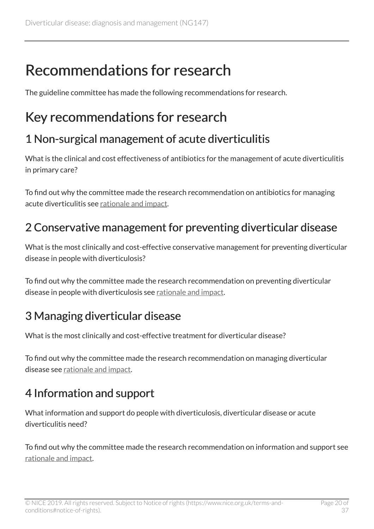# <span id="page-19-0"></span>Recommendations for research

The guideline committee has made the following recommendations for research.

## <span id="page-19-1"></span>Key recommendations for research

#### 1 Non-surgical management of acute diverticulitis

What is the clinical and cost effectiveness of antibiotics for the management of acute diverticulitis in primary care?

To find out why the committee made the research recommendation on antibiotics for managing acute diverticulitis see [rationale and impact](#page-27-0).

### 2 Conservative management for preventing diverticular disease

What is the most clinically and cost-effective conservative management for preventing diverticular disease in people with diverticulosis?

To find out why the committee made the research recommendation on preventing diverticular disease in people with diverticulosis see [rationale and impact](#page-21-1).

### 3 Managing diverticular disease

What is the most clinically and cost-effective treatment for diverticular disease?

To find out why the committee made the research recommendation on managing diverticular disease see [rationale and impact](#page-23-0).

### 4 Information and support

What information and support do people with diverticulosis, diverticular disease or acute diverticulitis need?

To find out why the committee made the research recommendation on information and support see [rationale and impact.](#page-33-1)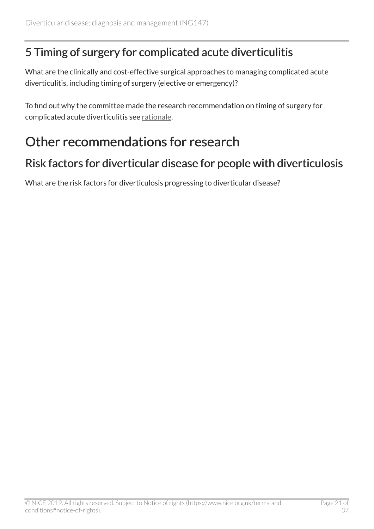#### <span id="page-20-1"></span>5 Timing of surgery for complicated acute diverticulitis

What are the clinically and cost-effective surgical approaches to managing complicated acute diverticulitis, including timing of surgery (elective or emergency)?

To find out why the committee made the research recommendation on timing of surgery for complicated acute diverticulitis see [rationale.](#page-32-1)

### <span id="page-20-0"></span>Other recommendations for research

#### <span id="page-20-2"></span>Risk factors for diverticular disease for people with diverticulosis

What are the risk factors for diverticulosis progressing to diverticular disease?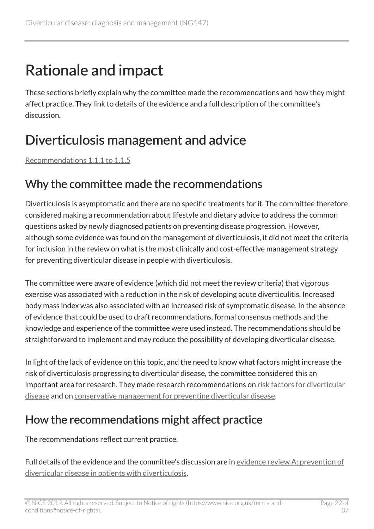# <span id="page-21-0"></span>Rationale and impact

These sections briefly explain why the committee made the recommendations and how they might affect practice. They link to details of the evidence and a full description of the committee's discussion.

## <span id="page-21-1"></span>Diverticulosis management and advice

[Recommendations 1.1.1 to 1.1.5](#page-5-2)

#### Why the committee made the recommendations

Diverticulosis is asymptomatic and there are no specific treatments for it. The committee therefore considered making a recommendation about lifestyle and dietary advice to address the common questions asked by newly diagnosed patients on preventing disease progression. However, although some evidence was found on the management of diverticulosis, it did not meet the criteria for inclusion in the review on what is the most clinically and cost-effective management strategy for preventing diverticular disease in people with diverticulosis.

The committee were aware of evidence (which did not meet the review criteria) that vigorous exercise was associated with a reduction in the risk of developing acute diverticulitis. Increased body mass index was also associated with an increased risk of symptomatic disease. In the absence of evidence that could be used to draft recommendations, formal consensus methods and the knowledge and experience of the committee were used instead. The recommendations should be straightforward to implement and may reduce the possibility of developing diverticular disease.

In light of the lack of evidence on this topic, and the need to know what factors might increase the risk of diverticulosis progressing to diverticular disease, the committee considered this an important area for research. They made research recommendations on [risk factors for diverticular](#page-20-2) [disease](#page-20-2) and on [conservative management for preventing diverticular disease.](#page-19-1)

#### How the recommendations might affect practice

The recommendations reflect current practice.

Full details of the evidence and the committee's discussion are in [evidence review A: prevention of](https://www.nice.org.uk/guidance/ng147/evidence/a-prevention-of-diverticular-disease-in-patients-with-diverticulosis-pdf-6969106478) [diverticular disease in patients with diverticulosis](https://www.nice.org.uk/guidance/ng147/evidence/a-prevention-of-diverticular-disease-in-patients-with-diverticulosis-pdf-6969106478).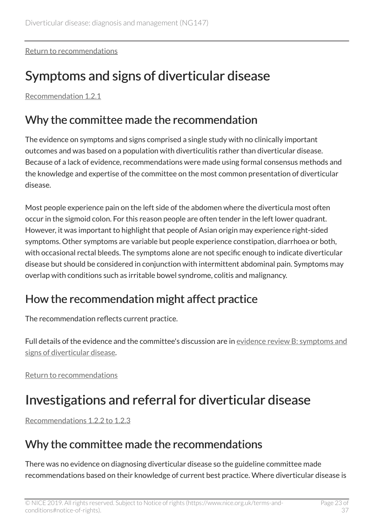[Return to recommendations](#page-5-2)

## <span id="page-22-0"></span>Symptoms and signs of diverticular disease

[Recommendation 1.2.1](#page-6-1)

#### Why the committee made the recommendation

The evidence on symptoms and signs comprised a single study with no clinically important outcomes and was based on a population with diverticulitis rather than diverticular disease. Because of a lack of evidence, recommendations were made using formal consensus methods and the knowledge and expertise of the committee on the most common presentation of diverticular disease.

Most people experience pain on the left side of the abdomen where the diverticula most often occur in the sigmoid colon. For this reason people are often tender in the left lower quadrant. However, it was important to highlight that people of Asian origin may experience right-sided symptoms. Other symptoms are variable but people experience constipation, diarrhoea or both, with occasional rectal bleeds. The symptoms alone are not specific enough to indicate diverticular disease but should be considered in conjunction with intermittent abdominal pain. Symptoms may overlap with conditions such as irritable bowel syndrome, colitis and malignancy.

### How the recommendation might affect practice

The recommendation reflects current practice.

Full details of the evidence and the committee's discussion are in [evidence review B: symptoms and](https://www.nice.org.uk/guidance/ng147/evidence/b-symptoms-and-signs-of-diverticular-disease-pdf-6969106479) [signs of diverticular disease.](https://www.nice.org.uk/guidance/ng147/evidence/b-symptoms-and-signs-of-diverticular-disease-pdf-6969106479)

[Return to recommendations](#page-6-1)

### <span id="page-22-1"></span>Investigations and referral for diverticular disease

[Recommendations 1.2.2 to 1.2.3](#page-6-2)

#### Why the committee made the recommendations

There was no evidence on diagnosing diverticular disease so the guideline committee made recommendations based on their knowledge of current best practice. Where diverticular disease is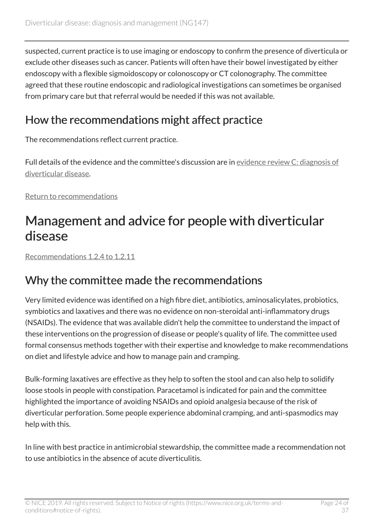suspected, current practice is to use imaging or endoscopy to confirm the presence of diverticula or exclude other diseases such as cancer. Patients will often have their bowel investigated by either endoscopy with a flexible sigmoidoscopy or colonoscopy or CT colonography. The committee agreed that these routine endoscopic and radiological investigations can sometimes be organised from primary care but that referral would be needed if this was not available.

### How the recommendations might affect practice

The recommendations reflect current practice.

Full details of the evidence and the committee's discussion are in [evidence review C: diagnosis of](https://www.nice.org.uk/guidance/ng147/evidence/c-diagnosis-of-diverticular-disease-pdf-6969106480) [diverticular disease.](https://www.nice.org.uk/guidance/ng147/evidence/c-diagnosis-of-diverticular-disease-pdf-6969106480)

[Return to recommendations](#page-6-2)

### <span id="page-23-0"></span>Management and advice for people with diverticular disease

[Recommendations 1.2.4 to 1.2.11](#page-7-0)

#### Why the committee made the recommendations

Very limited evidence was identified on a high fibre diet, antibiotics, aminosalicylates, probiotics, symbiotics and laxatives and there was no evidence on non-steroidal anti-inflammatory drugs (NSAIDs). The evidence that was available didn't help the committee to understand the impact of these interventions on the progression of disease or people's quality of life. The committee used formal consensus methods together with their expertise and knowledge to make recommendations on diet and lifestyle advice and how to manage pain and cramping.

Bulk-forming laxatives are effective as they help to soften the stool and can also help to solidify loose stools in people with constipation. Paracetamol is indicated for pain and the committee highlighted the importance of avoiding NSAIDs and opioid analgesia because of the risk of diverticular perforation. Some people experience abdominal cramping, and anti-spasmodics may help with this.

In line with best practice in antimicrobial stewardship, the committee made a recommendation not to use antibiotics in the absence of acute diverticulitis.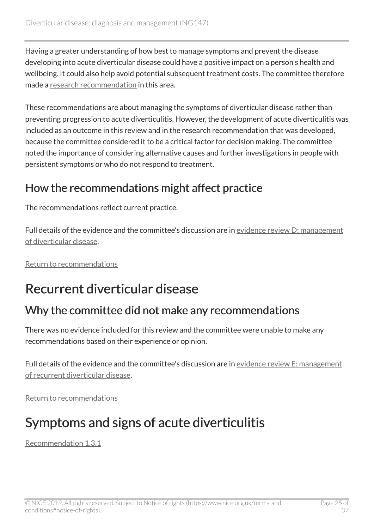Having a greater understanding of how best to manage symptoms and prevent the disease developing into acute diverticular disease could have a positive impact on a person's health and wellbeing. It could also help avoid potential subsequent treatment costs. The committee therefore made a [research recommendation](#page-19-1) in this area.

These recommendations are about managing the symptoms of diverticular disease rather than preventing progression to acute diverticulitis. However, the development of acute diverticulitis was included as an outcome in this review and in the research recommendation that was developed, because the committee considered it to be a critical factor for decision making. The committee noted the importance of considering alternative causes and further investigations in people with persistent symptoms or who do not respond to treatment.

#### How the recommendations might affect practice

The recommendations reflect current practice.

Full details of the evidence and the committee's discussion are in [evidence review D: management](https://www.nice.org.uk/guidance/ng147/evidence/d-management-of-diverticular-disease-pdf-6969106481) [of diverticular disease.](https://www.nice.org.uk/guidance/ng147/evidence/d-management-of-diverticular-disease-pdf-6969106481)

[Return to recommendations](#page-7-0)

### <span id="page-24-0"></span>Recurrent diverticular disease

#### Why the committee did not make any recommendations

There was no evidence included for this review and the committee were unable to make any recommendations based on their experience or opinion.

Full details of the evidence and the committee's discussion are in [evidence review E: management](https://www.nice.org.uk/guidance/ng147/evidence/e-management-of-recurrent-diverticular-disease-pdf-6969106482) [of recurrent diverticular disease.](https://www.nice.org.uk/guidance/ng147/evidence/e-management-of-recurrent-diverticular-disease-pdf-6969106482)

[Return to recommendations](#page-8-1)

## <span id="page-24-1"></span>Symptoms and signs of acute diverticulitis

[Recommendation 1.3.1](#page-8-2)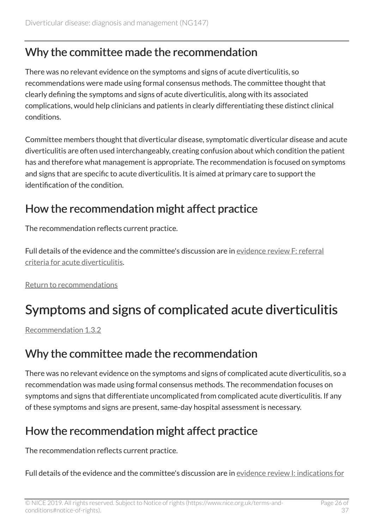#### Why the committee made the recommendation

There was no relevant evidence on the symptoms and signs of acute diverticulitis, so recommendations were made using formal consensus methods. The committee thought that clearly defining the symptoms and signs of acute diverticulitis, along with its associated complications, would help clinicians and patients in clearly differentiating these distinct clinical conditions.

Committee members thought that diverticular disease, symptomatic diverticular disease and acute diverticulitis are often used interchangeably, creating confusion about which condition the patient has and therefore what management is appropriate. The recommendation is focused on symptoms and signs that are specific to acute diverticulitis. It is aimed at primary care to support the identification of the condition.

#### How the recommendation might affect practice

The recommendation reflects current practice.

Full details of the evidence and the committee's discussion are in [evidence review F: referral](https://www.nice.org.uk/guidance/ng147/evidence/f-referral-criteria-for-acute-diverticulitis-pdf-6969106483) [criteria for acute diverticulitis.](https://www.nice.org.uk/guidance/ng147/evidence/f-referral-criteria-for-acute-diverticulitis-pdf-6969106483)

[Return to recommendations](#page-8-2)

## <span id="page-25-0"></span>Symptoms and signs of complicated acute diverticulitis

[Recommendation 1.3.2](#page-8-3)

#### Why the committee made the recommendation

There was no relevant evidence on the symptoms and signs of complicated acute diverticulitis, so a recommendation was made using formal consensus methods. The recommendation focuses on symptoms and signs that differentiate uncomplicated from complicated acute diverticulitis. If any of these symptoms and signs are present, same-day hospital assessment is necessary.

### How the recommendation might affect practice

The recommendation reflects current practice.

Full details of the evidence and the committee's discussion are in [evidence review I: indications for](https://www.nice.org.uk/guidance/ng147/evidence/i-indications-for-surgery-pdf-250887833172)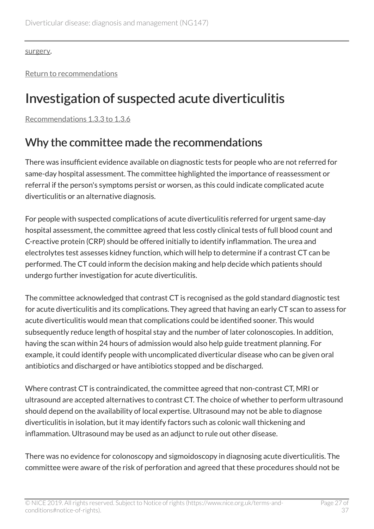[surgery](https://www.nice.org.uk/guidance/ng147/evidence/i-indications-for-surgery-pdf-250887833172).

[Return to recommendations](#page-8-3)

## <span id="page-26-0"></span>Investigation of suspected acute diverticulitis

[Recommendations 1.3.3 to 1.3.6](#page-9-0)

#### Why the committee made the recommendations

There was insufficient evidence available on diagnostic tests for people who are not referred for same-day hospital assessment. The committee highlighted the importance of reassessment or referral if the person's symptoms persist or worsen, as this could indicate complicated acute diverticulitis or an alternative diagnosis.

For people with suspected complications of acute diverticulitis referred for urgent same-day hospital assessment, the committee agreed that less costly clinical tests of full blood count and C-reactive protein (CRP) should be offered initially to identify inflammation. The urea and electrolytes test assesses kidney function, which will help to determine if a contrast CT can be performed. The CT could inform the decision making and help decide which patients should undergo further investigation for acute diverticulitis.

The committee acknowledged that contrast CT is recognised as the gold standard diagnostic test for acute diverticulitis and its complications. They agreed that having an early CT scan to assess for acute diverticulitis would mean that complications could be identified sooner. This would subsequently reduce length of hospital stay and the number of later colonoscopies. In addition, having the scan within 24 hours of admission would also help guide treatment planning. For example, it could identify people with uncomplicated diverticular disease who can be given oral antibiotics and discharged or have antibiotics stopped and be discharged.

Where contrast CT is contraindicated, the committee agreed that non-contrast CT, MRI or ultrasound are accepted alternatives to contrast CT. The choice of whether to perform ultrasound should depend on the availability of local expertise. Ultrasound may not be able to diagnose diverticulitis in isolation, but it may identify factors such as colonic wall thickening and inflammation. Ultrasound may be used as an adjunct to rule out other disease.

There was no evidence for colonoscopy and sigmoidoscopy in diagnosing acute diverticulitis. The committee were aware of the risk of perforation and agreed that these procedures should not be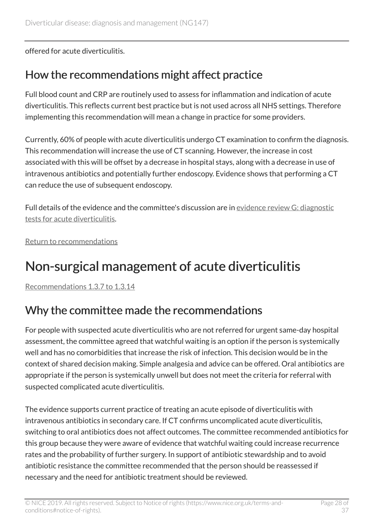offered for acute diverticulitis.

#### How the recommendations might affect practice

Full blood count and CRP are routinely used to assess for inflammation and indication of acute diverticulitis. This reflects current best practice but is not used across all NHS settings. Therefore implementing this recommendation will mean a change in practice for some providers.

Currently, 60% of people with acute diverticulitis undergo CT examination to confirm the diagnosis. This recommendation will increase the use of CT scanning. However, the increase in cost associated with this will be offset by a decrease in hospital stays, along with a decrease in use of intravenous antibiotics and potentially further endoscopy. Evidence shows that performing a CT can reduce the use of subsequent endoscopy.

Full details of the evidence and the committee's discussion are in [evidence review G: diagnostic](https://www.nice.org.uk/guidance/ng147/evidence/g-diagnostic-tests-for-acute-diverticulitis-pdf-6969106484) [tests for acute diverticulitis.](https://www.nice.org.uk/guidance/ng147/evidence/g-diagnostic-tests-for-acute-diverticulitis-pdf-6969106484)

[Return to recommendations](#page-9-0)

### <span id="page-27-0"></span>Non-surgical management of acute diverticulitis

[Recommendations 1.3.7 to 1.3.14](#page-10-0)

### Why the committee made the recommendations

For people with suspected acute diverticulitis who are not referred for urgent same-day hospital assessment, the committee agreed that watchful waiting is an option if the person is systemically well and has no comorbidities that increase the risk of infection. This decision would be in the context of shared decision making. Simple analgesia and advice can be offered. Oral antibiotics are appropriate if the person is systemically unwell but does not meet the criteria for referral with suspected complicated acute diverticulitis.

The evidence supports current practice of treating an acute episode of diverticulitis with intravenous antibiotics in secondary care. If CT confirms uncomplicated acute diverticulitis, switching to oral antibiotics does not affect outcomes. The committee recommended antibiotics for this group because they were aware of evidence that watchful waiting could increase recurrence rates and the probability of further surgery. In support of antibiotic stewardship and to avoid antibiotic resistance the committee recommended that the person should be reassessed if necessary and the need for antibiotic treatment should be reviewed.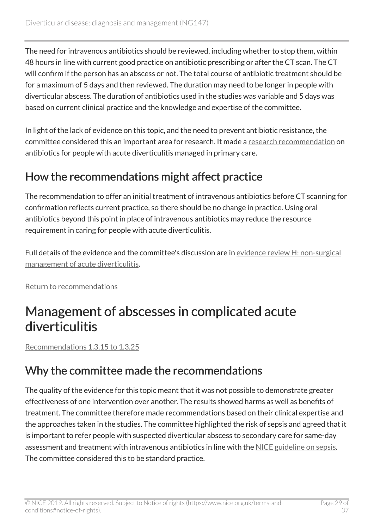The need for intravenous antibiotics should be reviewed, including whether to stop them, within 48 hours in line with current good practice on antibiotic prescribing or after the CT scan. The CT will confirm if the person has an abscess or not. The total course of antibiotic treatment should be for a maximum of 5 days and then reviewed. The duration may need to be longer in people with diverticular abscess. The duration of antibiotics used in the studies was variable and 5 days was based on current clinical practice and the knowledge and expertise of the committee.

In light of the lack of evidence on this topic, and the need to prevent antibiotic resistance, the committee considered this an important area for research. It made a [research recommendation](#page-19-1) on antibiotics for people with acute diverticulitis managed in primary care.

#### How the recommendations might affect practice

The recommendation to offer an initial treatment of intravenous antibiotics before CT scanning for confirmation reflects current practice, so there should be no change in practice. Using oral antibiotics beyond this point in place of intravenous antibiotics may reduce the resource requirement in caring for people with acute diverticulitis.

Full details of the evidence and the committee's discussion are in [evidence review H: non-surgical](https://www.nice.org.uk/guidance/ng147/evidence/h-nonsurgical-management-of-acute-diverticulitis-pdf-6969106485) [management of acute diverticulitis.](https://www.nice.org.uk/guidance/ng147/evidence/h-nonsurgical-management-of-acute-diverticulitis-pdf-6969106485)

[Return to recommendations](#page-10-0)

### <span id="page-28-0"></span>Management of abscesses in complicated acute diverticulitis

[Recommendations 1.3.15 to 1.3.25](#page-13-0)

### Why the committee made the recommendations

The quality of the evidence for this topic meant that it was not possible to demonstrate greater effectiveness of one intervention over another. The results showed harms as well as benefits of treatment. The committee therefore made recommendations based on their clinical expertise and the approaches taken in the studies. The committee highlighted the risk of sepsis and agreed that it is important to refer people with suspected diverticular abscess to secondary care for same-day assessment and treatment with intravenous antibiotics in line with the [NICE guideline on sepsis.](https://www.nice.org.uk/guidance/ng51) The committee considered this to be standard practice.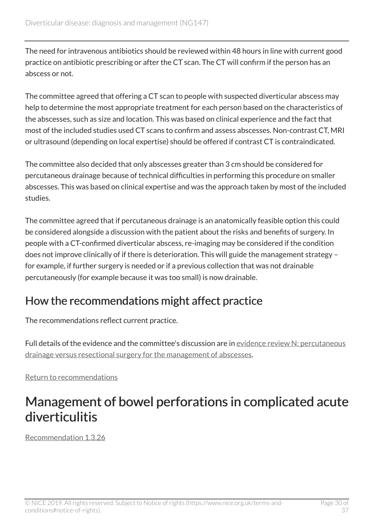The need for intravenous antibiotics should be reviewed within 48 hours in line with current good practice on antibiotic prescribing or after the CT scan. The CT will confirm if the person has an abscess or not.

The committee agreed that offering a CT scan to people with suspected diverticular abscess may help to determine the most appropriate treatment for each person based on the characteristics of the abscesses, such as size and location. This was based on clinical experience and the fact that most of the included studies used CT scans to confirm and assess abscesses. Non-contrast CT, MRI or ultrasound (depending on local expertise) should be offered if contrast CT is contraindicated.

The committee also decided that only abscesses greater than 3 cm should be considered for percutaneous drainage because of technical difficulties in performing this procedure on smaller abscesses. This was based on clinical expertise and was the approach taken by most of the included studies.

The committee agreed that if percutaneous drainage is an anatomically feasible option this could be considered alongside a discussion with the patient about the risks and benefits of surgery. In people with a CT-confirmed diverticular abscess, re-imaging may be considered if the condition does not improve clinically of if there is deterioration. This will guide the management strategy – for example, if further surgery is needed or if a previous collection that was not drainable percutaneously (for example because it was too small) is now drainable.

#### How the recommendations might affect practice

The recommendations reflect current practice.

Full details of the evidence and the committee's discussion are in [evidence review N: percutaneous](https://www.nice.org.uk/guidance/ng147/evidence/n-percutaneous-drainage-versus-resectional-surgery-for-the-management-of-abscesses-pdf-250887833177) [drainage versus resectional surgery for the management of abscesses.](https://www.nice.org.uk/guidance/ng147/evidence/n-percutaneous-drainage-versus-resectional-surgery-for-the-management-of-abscesses-pdf-250887833177)

[Return to recommendations](#page-13-0)

### <span id="page-29-0"></span>Management of bowel perforations in complicated acute diverticulitis

[Recommendation 1.3.26](#page-14-0)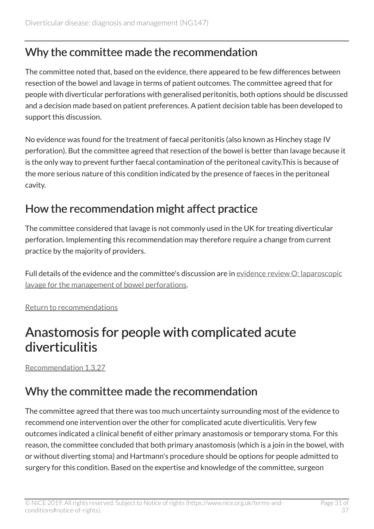#### Why the committee made the recommendation

The committee noted that, based on the evidence, there appeared to be few differences between resection of the bowel and lavage in terms of patient outcomes. The committee agreed that for people with diverticular perforations with generalised peritonitis, both options should be discussed and a decision made based on patient preferences. A patient decision table has been developed to support this discussion.

No evidence was found for the treatment of faecal peritonitis (also known as Hinchey stage IV perforation). But the committee agreed that resection of the bowel is better than lavage because it is the only way to prevent further faecal contamination of the peritoneal cavity.This is because of the more serious nature of this condition indicated by the presence of faeces in the peritoneal cavity.

#### How the recommendation might affect practice

The committee considered that lavage is not commonly used in the UK for treating diverticular perforation. Implementing this recommendation may therefore require a change from current practice by the majority of providers.

Full details of the evidence and the committee's discussion are in [evidence review O: laparoscopic](https://www.nice.org.uk/guidance/ng147/evidence/o-laparoscopic-lavage-for-the-management-of-bowel-perforations-pdf-250887833178) [lavage for the management of bowel perforations.](https://www.nice.org.uk/guidance/ng147/evidence/o-laparoscopic-lavage-for-the-management-of-bowel-perforations-pdf-250887833178)

[Return to recommendations](#page-14-0)

### <span id="page-30-0"></span>Anastomosis for people with complicated acute diverticulitis

[Recommendation 1.3.27](#page-15-0)

### Why the committee made the recommendation

The committee agreed that there was too much uncertainty surrounding most of the evidence to recommend one intervention over the other for complicated acute diverticulitis. Very few outcomes indicated a clinical benefit of either primary anastomosis or temporary stoma. For this reason, the committee concluded that both primary anastomosis (which is a join in the bowel, with or without diverting stoma) and Hartmann's procedure should be options for people admitted to surgery for this condition. Based on the expertise and knowledge of the committee, surgeon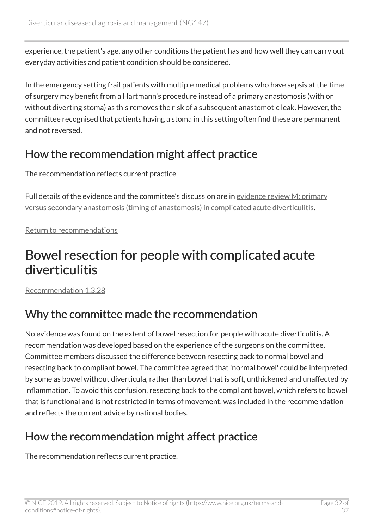experience, the patient's age, any other conditions the patient has and how well they can carry out everyday activities and patient condition should be considered.

In the emergency setting frail patients with multiple medical problems who have sepsis at the time of surgery may benefit from a Hartmann's procedure instead of a primary anastomosis (with or without diverting stoma) as this removes the risk of a subsequent anastomotic leak. However, the committee recognised that patients having a stoma in this setting often find these are permanent and not reversed.

#### How the recommendation might affect practice

The recommendation reflects current practice.

Full details of the evidence and the committee's discussion are in [evidence review M: primary](https://www.nice.org.uk/guidance/ng147/evidence/m-primary-versus-secondary-anastomosis-timing-of-anastomosis-in-complicated-acute-diverticulitis-pdf-250887833176) [versus secondary anastomosis \(timing of anastomosis\) in complicated acute diverticulitis](https://www.nice.org.uk/guidance/ng147/evidence/m-primary-versus-secondary-anastomosis-timing-of-anastomosis-in-complicated-acute-diverticulitis-pdf-250887833176).

[Return to recommendations](#page-15-0)

### <span id="page-31-0"></span>Bowel resection for people with complicated acute diverticulitis

[Recommendation 1.3.28](#page-15-0)

### Why the committee made the recommendation

No evidence was found on the extent of bowel resection for people with acute diverticulitis. A recommendation was developed based on the experience of the surgeons on the committee. Committee members discussed the difference between resecting back to normal bowel and resecting back to compliant bowel. The committee agreed that 'normal bowel' could be interpreted by some as bowel without diverticula, rather than bowel that is soft, unthickened and unaffected by inflammation. To avoid this confusion, resecting back to the compliant bowel, which refers to bowel that is functional and is not restricted in terms of movement, was included in the recommendation and reflects the current advice by national bodies.

### How the recommendation might affect practice

The recommendation reflects current practice.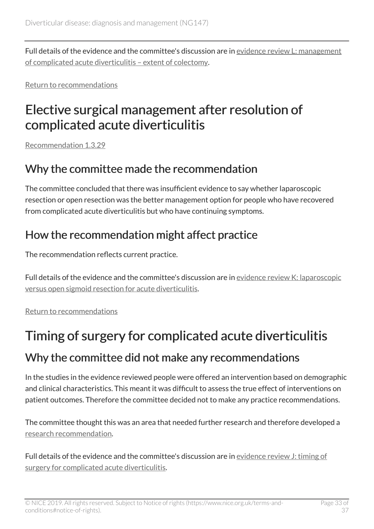Full details of the evidence and the committee's discussion are in [evidence review L: management](https://www.nice.org.uk/guidance/ng147/evidence/l-management-of-complicated-acute-diverticulitis-extent-of-colectomy-pdf-250887833175) [of complicated acute diverticulitis – extent of colectomy](https://www.nice.org.uk/guidance/ng147/evidence/l-management-of-complicated-acute-diverticulitis-extent-of-colectomy-pdf-250887833175).

[Return to recommendations](#page-15-0)

### <span id="page-32-0"></span>Elective surgical management after resolution of complicated acute diverticulitis

[Recommendation 1.3.29](#page-16-1)

#### Why the committee made the recommendation

The committee concluded that there was insufficient evidence to say whether laparoscopic resection or open resection was the better management option for people who have recovered from complicated acute diverticulitis but who have continuing symptoms.

#### How the recommendation might affect practice

The recommendation reflects current practice.

Full details of the evidence and the committee's discussion are in [evidence review K: laparoscopic](https://www.nice.org.uk/guidance/ng147/evidence/k-laparoscopic-versus-open-sigmoid-resection-for-acute-diverticulitis-pdf-250887833174) [versus open sigmoid resection for acute diverticulitis](https://www.nice.org.uk/guidance/ng147/evidence/k-laparoscopic-versus-open-sigmoid-resection-for-acute-diverticulitis-pdf-250887833174).

[Return to recommendations](#page-16-1)

# <span id="page-32-1"></span>Timing of surgery for complicated acute diverticulitis Why the committee did not make any recommendations

In the studies in the evidence reviewed people were offered an intervention based on demographic and clinical characteristics. This meant it was difficult to assess the true effect of interventions on patient outcomes. Therefore the committee decided not to make any practice recommendations.

The committee thought this was an area that needed further research and therefore developed a [research recommendation.](#page-19-1)

Full details of the evidence and the committee's discussion are in [evidence review J: timing of](https://www.nice.org.uk/guidance/ng147/evidence/j-timing-of-surgery-for-complicated-acute-diverticulitis-pdf-250887833173) [surgery for complicated acute diverticulitis.](https://www.nice.org.uk/guidance/ng147/evidence/j-timing-of-surgery-for-complicated-acute-diverticulitis-pdf-250887833173)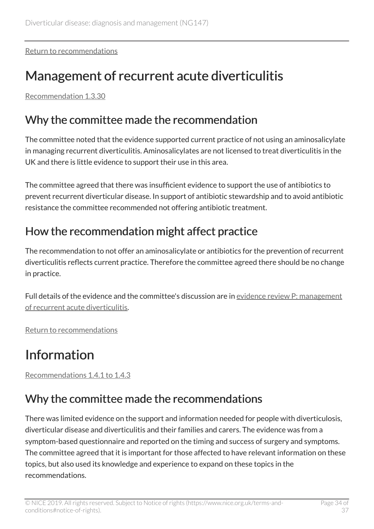[Return to recommendations](#page-16-2)

## <span id="page-33-0"></span>Management of recurrent acute diverticulitis

[Recommendation 1.3.30](#page-16-3)

#### Why the committee made the recommendation

The committee noted that the evidence supported current practice of not using an aminosalicylate in managing recurrent diverticulitis. Aminosalicylates are not licensed to treat diverticulitis in the UK and there is little evidence to support their use in this area.

The committee agreed that there was insufficient evidence to support the use of antibiotics to prevent recurrent diverticular disease. In support of antibiotic stewardship and to avoid antibiotic resistance the committee recommended not offering antibiotic treatment.

### How the recommendation might affect practice

The recommendation to not offer an aminosalicylate or antibiotics for the prevention of recurrent diverticulitis reflects current practice. Therefore the committee agreed there should be no change in practice.

Full details of the evidence and the committee's discussion are in [evidence review P: management](https://www.nice.org.uk/guidance/ng147/evidence/p-management-of-recurrent-acute-diverticulitis-pdf-250887833179) [of recurrent acute diverticulitis.](https://www.nice.org.uk/guidance/ng147/evidence/p-management-of-recurrent-acute-diverticulitis-pdf-250887833179)

[Return to recommendations](#page-16-3)

## <span id="page-33-1"></span>Information

[Recommendations 1.4.1 to 1.4.3](#page-16-4)

#### Why the committee made the recommendations

There was limited evidence on the support and information needed for people with diverticulosis, diverticular disease and diverticulitis and their families and carers. The evidence was from a symptom-based questionnaire and reported on the timing and success of surgery and symptoms. The committee agreed that it is important for those affected to have relevant information on these topics, but also used its knowledge and experience to expand on these topics in the recommendations.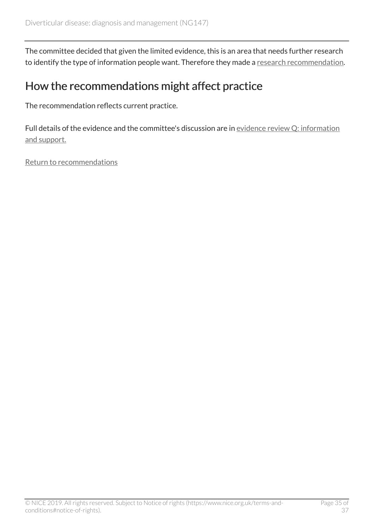The committee decided that given the limited evidence, this is an area that needs further research to identify the type of information people want. Therefore they made a [research recommendation](#page-19-1).

#### How the recommendations might affect practice

The recommendation reflects current practice.

Full details of the evidence and the committee's discussion are in [evidence review Q: information](https://www.nice.org.uk/guidance/ng147/evidence/q-information-and-support-pdf-250887833180) [and support.](https://www.nice.org.uk/guidance/ng147/evidence/q-information-and-support-pdf-250887833180)

[Return to recommendations](#page-16-4)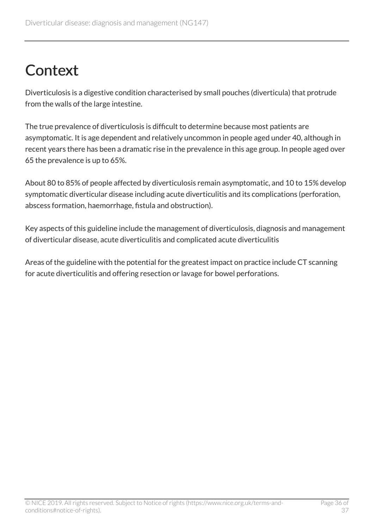# <span id="page-35-0"></span>**Context**

Diverticulosis is a digestive condition characterised by small pouches (diverticula) that protrude from the walls of the large intestine.

The true prevalence of diverticulosis is difficult to determine because most patients are asymptomatic. It is age dependent and relatively uncommon in people aged under 40, although in recent years there has been a dramatic rise in the prevalence in this age group. In people aged over 65 the prevalence is up to 65%.

About 80 to 85% of people affected by diverticulosis remain asymptomatic, and 10 to 15% develop symptomatic diverticular disease including acute diverticulitis and its complications (perforation, abscess formation, haemorrhage, fistula and obstruction).

Key aspects of this guideline include the management of diverticulosis, diagnosis and management of diverticular disease, acute diverticulitis and complicated acute diverticulitis

Areas of the guideline with the potential for the greatest impact on practice include CT scanning for acute diverticulitis and offering resection or lavage for bowel perforations.